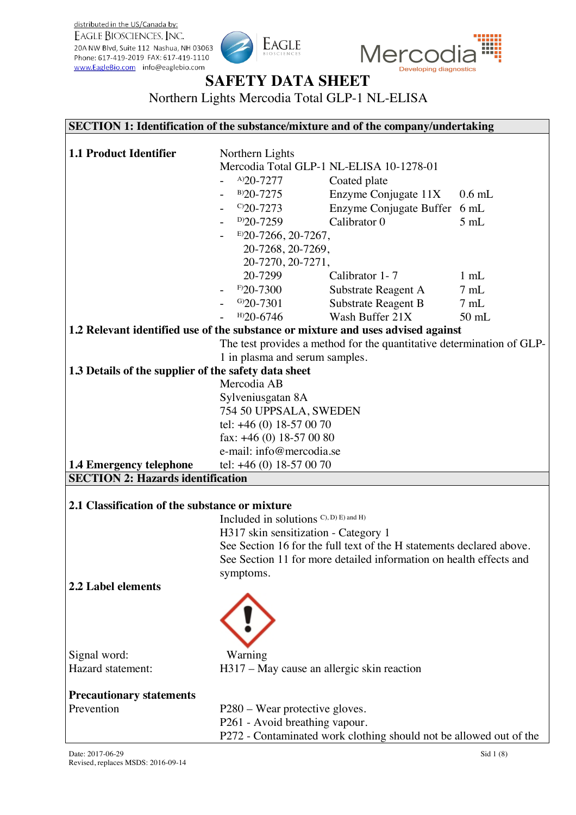distributed in the US/Canada by: EAGLE BIOSCIENCES, INC. 20A NW Blvd, Suite 112 Nashua, NH 03063 Phone: 617-419-2019 FAX: 617-419-1110 www.EagleBio.com info@eaglebio.com





# **SAFETY DATA SHEET**

Northern Lights Mercodia Total GLP-1 NL-ELISA

#### **SECTION 1: Identification of the substance/mixture and of the company/undertaking**

| <b>1.1 Product Identifier</b>                                                    | Northern Lights                                                      |                                                                       |                |
|----------------------------------------------------------------------------------|----------------------------------------------------------------------|-----------------------------------------------------------------------|----------------|
|                                                                                  | Mercodia Total GLP-1 NL-ELISA 10-1278-01                             |                                                                       |                |
|                                                                                  | $A$ )20-7277                                                         | Coated plate                                                          |                |
|                                                                                  | $B$ )20-7275                                                         | Enzyme Conjugate 11X                                                  | $0.6$ mL       |
|                                                                                  | $C$ 20-7273                                                          | Enzyme Conjugate Buffer                                               | $6 \text{ mL}$ |
|                                                                                  | $D$ )20-7259                                                         | Calibrator 0                                                          | 5mL            |
|                                                                                  | $E$ )20-7266, 20-7267,                                               |                                                                       |                |
|                                                                                  | 20-7268, 20-7269,                                                    |                                                                       |                |
|                                                                                  | 20-7270, 20-7271,                                                    |                                                                       |                |
|                                                                                  | 20-7299                                                              | Calibrator 1-7                                                        | $1 \text{ mL}$ |
|                                                                                  | $F$ 20-7300                                                          | Substrate Reagent A                                                   | 7mL            |
|                                                                                  | $G$ )20-7301                                                         | Substrate Reagent B                                                   | 7mL            |
|                                                                                  | $H$ )20-6746                                                         | Wash Buffer 21X                                                       | $50$ mL        |
| 1.2 Relevant identified use of the substance or mixture and uses advised against |                                                                      |                                                                       |                |
|                                                                                  |                                                                      | The test provides a method for the quantitative determination of GLP- |                |
|                                                                                  | 1 in plasma and serum samples.                                       |                                                                       |                |
| 1.3 Details of the supplier of the safety data sheet                             |                                                                      |                                                                       |                |
|                                                                                  | Mercodia AB                                                          |                                                                       |                |
|                                                                                  | Sylveniusgatan 8A                                                    |                                                                       |                |
|                                                                                  | 754 50 UPPSALA, SWEDEN                                               |                                                                       |                |
|                                                                                  | tel: $+46(0)$ 18-57 00 70                                            |                                                                       |                |
|                                                                                  | fax: $+46$ (0) 18-57 00 80                                           |                                                                       |                |
|                                                                                  | e-mail: info@mercodia.se                                             |                                                                       |                |
| <b>1.4 Emergency telephone</b>                                                   | tel: $+46(0)$ 18-57 00 70                                            |                                                                       |                |
| <b>SECTION 2: Hazards identification</b>                                         |                                                                      |                                                                       |                |
|                                                                                  |                                                                      |                                                                       |                |
| 2.1 Classification of the substance or mixture                                   |                                                                      |                                                                       |                |
|                                                                                  | Included in solutions C), D) E) and H)                               |                                                                       |                |
|                                                                                  | H317 skin sensitization - Category 1                                 |                                                                       |                |
|                                                                                  | See Section 16 for the full text of the H statements declared above. |                                                                       |                |
|                                                                                  | See Section 11 for more detailed information on health effects and   |                                                                       |                |
|                                                                                  | symptoms.                                                            |                                                                       |                |
| 2.2 Label elements                                                               |                                                                      |                                                                       |                |
|                                                                                  |                                                                      |                                                                       |                |
|                                                                                  |                                                                      |                                                                       |                |
|                                                                                  |                                                                      |                                                                       |                |
|                                                                                  |                                                                      |                                                                       |                |
| Signal word:                                                                     | Warning                                                              |                                                                       |                |
| Hazard statement:                                                                | H317 – May cause an allergic skin reaction                           |                                                                       |                |
|                                                                                  |                                                                      |                                                                       |                |
| <b>Precautionary statements</b>                                                  |                                                                      |                                                                       |                |
| Prevention                                                                       | P280 – Wear protective gloves.                                       |                                                                       |                |
|                                                                                  | P261 - Avoid breathing vapour.                                       |                                                                       |                |
|                                                                                  |                                                                      | P272 - Contaminated work clothing should not be allowed out of the    |                |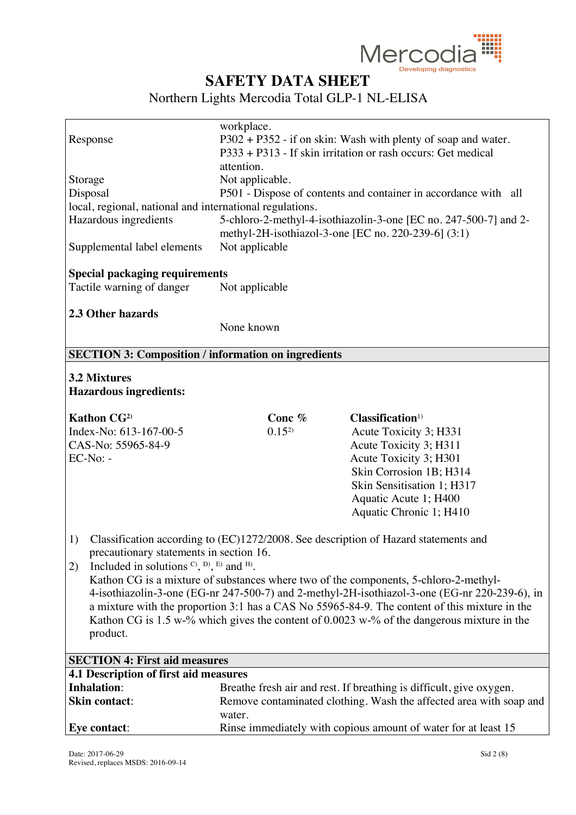

|                                                            | workplace.                                                    |                                                                                               |
|------------------------------------------------------------|---------------------------------------------------------------|-----------------------------------------------------------------------------------------------|
| Response                                                   | P302 + P352 - if on skin: Wash with plenty of soap and water. |                                                                                               |
|                                                            |                                                               | P333 + P313 - If skin irritation or rash occurs: Get medical                                  |
|                                                            | attention.                                                    |                                                                                               |
| Storage                                                    | Not applicable.                                               |                                                                                               |
| Disposal                                                   |                                                               | P501 - Dispose of contents and container in accordance with all                               |
| local, regional, national and international regulations.   |                                                               |                                                                                               |
| Hazardous ingredients                                      |                                                               | 5-chloro-2-methyl-4-isothiazolin-3-one [EC no. 247-500-7] and 2-                              |
|                                                            |                                                               | methyl-2H-isothiazol-3-one [EC no. 220-239-6] (3:1)                                           |
| Supplemental label elements                                | Not applicable                                                |                                                                                               |
|                                                            |                                                               |                                                                                               |
| <b>Special packaging requirements</b>                      |                                                               |                                                                                               |
| Tactile warning of danger                                  | Not applicable                                                |                                                                                               |
|                                                            |                                                               |                                                                                               |
| 2.3 Other hazards                                          |                                                               |                                                                                               |
|                                                            | None known                                                    |                                                                                               |
|                                                            |                                                               |                                                                                               |
| <b>SECTION 3: Composition / information on ingredients</b> |                                                               |                                                                                               |
| <b>3.2 Mixtures</b>                                        |                                                               |                                                                                               |
|                                                            |                                                               |                                                                                               |
| <b>Hazardous ingredients:</b>                              |                                                               |                                                                                               |
| <b>Kathon CG2)</b>                                         | Conc %                                                        | Classification <sup>1)</sup>                                                                  |
| Index-No: 613-167-00-5                                     | $0.15^{2}$                                                    | Acute Toxicity 3; H331                                                                        |
| CAS-No: 55965-84-9                                         |                                                               | Acute Toxicity 3; H311                                                                        |
| EC-No: -                                                   |                                                               | Acute Toxicity 3; H301                                                                        |
|                                                            |                                                               | Skin Corrosion 1B; H314                                                                       |
|                                                            |                                                               | Skin Sensitisation 1; H317                                                                    |
|                                                            |                                                               | Aquatic Acute 1; H400                                                                         |
|                                                            |                                                               | Aquatic Chronic 1; H410                                                                       |
|                                                            |                                                               |                                                                                               |
| 1)                                                         |                                                               | Classification according to (EC)1272/2008. See description of Hazard statements and           |
| precautionary statements in section 16.                    |                                                               |                                                                                               |
| 2)<br>Included in solutions $C$ , $D$ , $E$ ) and $H$ ).   |                                                               |                                                                                               |
|                                                            |                                                               | Kathon CG is a mixture of substances where two of the components, 5-chloro-2-methyl-          |
|                                                            |                                                               | 4-isothiazolin-3-one (EG-nr 247-500-7) and 2-methyl-2H-isothiazol-3-one (EG-nr 220-239-6), in |
|                                                            |                                                               | a mixture with the proportion 3:1 has a CAS No 55965-84-9. The content of this mixture in the |
|                                                            |                                                               | Kathon CG is 1.5 w-% which gives the content of $0.0023$ w-% of the dangerous mixture in the  |
| product.                                                   |                                                               |                                                                                               |
|                                                            |                                                               |                                                                                               |
| <b>SECTION 4: First aid measures</b>                       |                                                               |                                                                                               |
| 4.1 Description of first aid measures                      |                                                               |                                                                                               |
| <b>Inhalation:</b>                                         |                                                               | Breathe fresh air and rest. If breathing is difficult, give oxygen.                           |
| <b>Skin contact:</b>                                       |                                                               | Remove contaminated clothing. Wash the affected area with soap and                            |
|                                                            | water.                                                        |                                                                                               |
| Eye contact:                                               |                                                               | Rinse immediately with copious amount of water for at least 15                                |
|                                                            |                                                               |                                                                                               |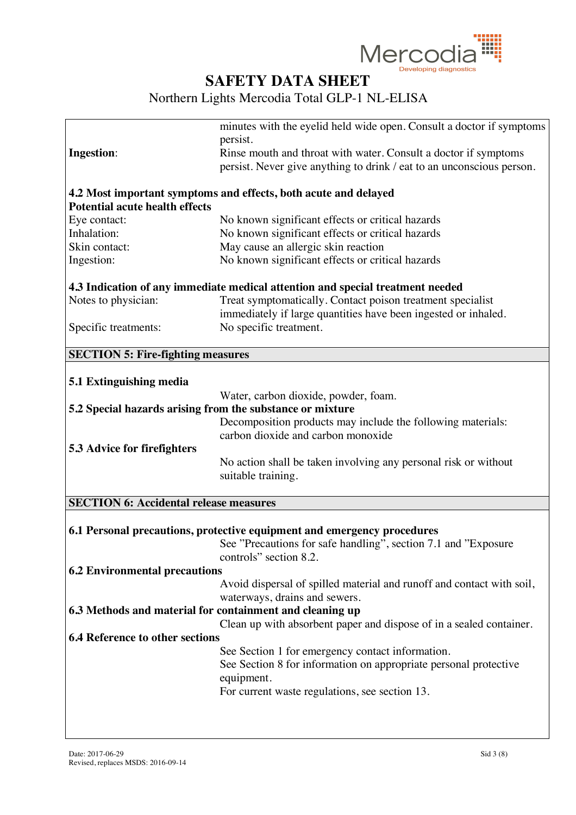

|                                                           | minutes with the eyelid held wide open. Consult a doctor if symptoms           |
|-----------------------------------------------------------|--------------------------------------------------------------------------------|
|                                                           | persist.                                                                       |
| <b>Ingestion:</b>                                         | Rinse mouth and throat with water. Consult a doctor if symptoms                |
|                                                           | persist. Never give anything to drink / eat to an unconscious person.          |
|                                                           |                                                                                |
|                                                           | 4.2 Most important symptoms and effects, both acute and delayed                |
| <b>Potential acute health effects</b>                     |                                                                                |
| Eye contact:                                              | No known significant effects or critical hazards                               |
| Inhalation:                                               | No known significant effects or critical hazards                               |
| Skin contact:                                             | May cause an allergic skin reaction                                            |
| Ingestion:                                                | No known significant effects or critical hazards                               |
|                                                           |                                                                                |
|                                                           | 4.3 Indication of any immediate medical attention and special treatment needed |
| Notes to physician:                                       | Treat symptomatically. Contact poison treatment specialist                     |
|                                                           | immediately if large quantities have been ingested or inhaled.                 |
| Specific treatments:                                      | No specific treatment.                                                         |
|                                                           |                                                                                |
| <b>SECTION 5: Fire-fighting measures</b>                  |                                                                                |
|                                                           |                                                                                |
| 5.1 Extinguishing media                                   |                                                                                |
|                                                           | Water, carbon dioxide, powder, foam.                                           |
| 5.2 Special hazards arising from the substance or mixture |                                                                                |
|                                                           | Decomposition products may include the following materials:                    |
|                                                           | carbon dioxide and carbon monoxide                                             |
| <b>5.3 Advice for firefighters</b>                        |                                                                                |
|                                                           | No action shall be taken involving any personal risk or without                |
|                                                           | suitable training.                                                             |
|                                                           |                                                                                |
| <b>SECTION 6: Accidental release measures</b>             |                                                                                |
|                                                           |                                                                                |
|                                                           | 6.1 Personal precautions, protective equipment and emergency procedures        |
|                                                           | See "Precautions for safe handling", section 7.1 and "Exposure"                |
|                                                           | controls" section 8.2.                                                         |
| <b>6.2 Environmental precautions</b>                      |                                                                                |
|                                                           | Avoid dispersal of spilled material and runoff and contact with soil,          |
| 6.3 Methods and material for containment and cleaning up  | waterways, drains and sewers.                                                  |
|                                                           |                                                                                |
| <b>6.4 Reference to other sections</b>                    | Clean up with absorbent paper and dispose of in a sealed container.            |
|                                                           | See Section 1 for emergency contact information.                               |
|                                                           | See Section 8 for information on appropriate personal protective               |
|                                                           |                                                                                |
|                                                           | equipment.                                                                     |
|                                                           | For current waste regulations, see section 13.                                 |
|                                                           |                                                                                |
|                                                           |                                                                                |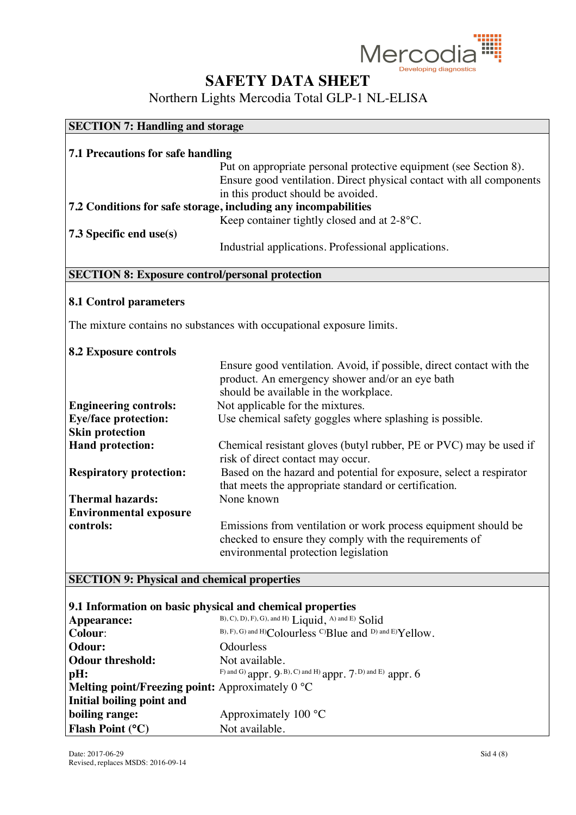

Northern Lights Mercodia Total GLP-1 NL-ELISA

| <b>SECTION 7: Handling and storage</b> |                                                                      |  |
|----------------------------------------|----------------------------------------------------------------------|--|
|                                        |                                                                      |  |
| 7.1 Precautions for safe handling      |                                                                      |  |
|                                        | Put on appropriate personal protective equipment (see Section 8).    |  |
|                                        | Ensure good ventilation. Direct physical contact with all components |  |
|                                        | in this product should be avoided.                                   |  |
|                                        | 7.2 Conditions for safe storage, including any incompabilities       |  |
|                                        | Keep container tightly closed and at 2-8°C.                          |  |
| 7.3 Specific end use(s)                |                                                                      |  |
|                                        | Industrial applications. Professional applications.                  |  |

### **SECTION 8: Exposure control/personal protection**

#### **8.1 Control parameters**

The mixture contains no substances with occupational exposure limits.

#### **8.2 Exposure controls**

|                                | Ensure good ventilation. Avoid, if possible, direct contact with the                                                                                             |
|--------------------------------|------------------------------------------------------------------------------------------------------------------------------------------------------------------|
|                                | product. An emergency shower and/or an eye bath                                                                                                                  |
|                                | should be available in the workplace.                                                                                                                            |
| <b>Engineering controls:</b>   | Not applicable for the mixtures.                                                                                                                                 |
| <b>Eye/face protection:</b>    | Use chemical safety goggles where splashing is possible.                                                                                                         |
| <b>Skin protection</b>         |                                                                                                                                                                  |
| <b>Hand protection:</b>        | Chemical resistant gloves (butyl rubber, PE or PVC) may be used if<br>risk of direct contact may occur.                                                          |
| <b>Respiratory protection:</b> | Based on the hazard and potential for exposure, select a respirator<br>that meets the appropriate standard or certification.                                     |
| <b>Thermal hazards:</b>        | None known                                                                                                                                                       |
| <b>Environmental exposure</b>  |                                                                                                                                                                  |
| controls:                      | Emissions from ventilation or work process equipment should be<br>checked to ensure they comply with the requirements of<br>environmental protection legislation |

### **SECTION 9: Physical and chemical properties**

#### **9.1 Information on basic physical and chemical properties**

| B), C), D), F), G), and H) Liquid, A) and E) Solid              |
|-----------------------------------------------------------------|
| B), F), G) and H)Colourless C)Blue and D) and E)Yellow.         |
| <b>Odourless</b>                                                |
| Not available.                                                  |
| F) and G) appr. 9, B), C) and H) appr. $7$ , D) and E) appr. 6  |
| <b>Melting point/Freezing point:</b> Approximately $0^{\circ}C$ |
|                                                                 |
| Approximately $100^{\circ}$ C                                   |
| Not available.                                                  |
|                                                                 |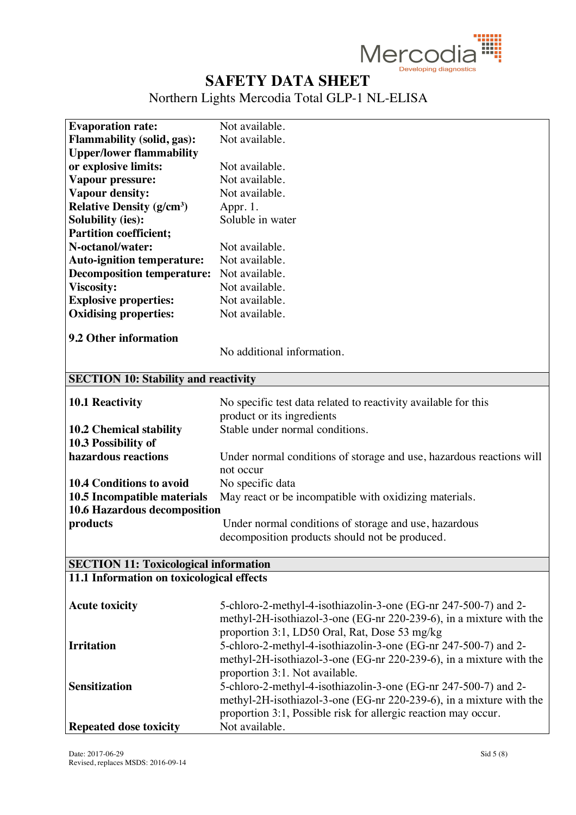

| <b>Evaporation rate:</b>                     | Not available.                                                       |
|----------------------------------------------|----------------------------------------------------------------------|
| <b>Flammability (solid, gas):</b>            | Not available.                                                       |
| <b>Upper/lower flammability</b>              |                                                                      |
| or explosive limits:                         | Not available.                                                       |
| Vapour pressure:                             | Not available.                                                       |
| Vapour density:                              | Not available.                                                       |
| <b>Relative Density (g/cm<sup>3</sup>)</b>   | Appr. 1.                                                             |
| <b>Solubility (ies):</b>                     | Soluble in water                                                     |
| <b>Partition coefficient;</b>                |                                                                      |
| N-octanol/water:                             | Not available.                                                       |
| <b>Auto-ignition temperature:</b>            | Not available.                                                       |
| <b>Decomposition temperature:</b>            | Not available.                                                       |
| <b>Viscosity:</b>                            | Not available.                                                       |
| <b>Explosive properties:</b>                 | Not available.                                                       |
| <b>Oxidising properties:</b>                 | Not available.                                                       |
|                                              |                                                                      |
| 9.2 Other information                        |                                                                      |
|                                              | No additional information.                                           |
|                                              |                                                                      |
| <b>SECTION 10: Stability and reactivity</b>  |                                                                      |
| <b>10.1 Reactivity</b>                       | No specific test data related to reactivity available for this       |
|                                              | product or its ingredients                                           |
| <b>10.2 Chemical stability</b>               | Stable under normal conditions.                                      |
| 10.3 Possibility of                          |                                                                      |
| hazardous reactions                          | Under normal conditions of storage and use, hazardous reactions will |
|                                              | not occur                                                            |
| <b>10.4 Conditions to avoid</b>              | No specific data                                                     |
| 10.5 Incompatible materials                  | May react or be incompatible with oxidizing materials.               |
| 10.6 Hazardous decomposition                 |                                                                      |
| products                                     | Under normal conditions of storage and use, hazardous                |
|                                              | decomposition products should not be produced.                       |
|                                              |                                                                      |
| <b>SECTION 11: Toxicological information</b> |                                                                      |
| 11.1 Information on toxicological effects    |                                                                      |
|                                              |                                                                      |
| <b>Acute toxicity</b>                        | 5-chloro-2-methyl-4-isothiazolin-3-one (EG-nr 247-500-7) and 2-      |
|                                              | methyl-2H-isothiazol-3-one (EG-nr 220-239-6), in a mixture with the  |
|                                              | proportion 3:1, LD50 Oral, Rat, Dose 53 mg/kg                        |
| <b>Irritation</b>                            | 5-chloro-2-methyl-4-isothiazolin-3-one (EG-nr 247-500-7) and 2-      |
|                                              | methyl-2H-isothiazol-3-one (EG-nr 220-239-6), in a mixture with the  |
|                                              | proportion 3:1. Not available.                                       |
| <b>Sensitization</b>                         | 5-chloro-2-methyl-4-isothiazolin-3-one (EG-nr 247-500-7) and 2-      |
|                                              | methyl-2H-isothiazol-3-one (EG-nr 220-239-6), in a mixture with the  |
|                                              | proportion 3:1, Possible risk for allergic reaction may occur.       |
| <b>Repeated dose toxicity</b>                | Not available.                                                       |
|                                              |                                                                      |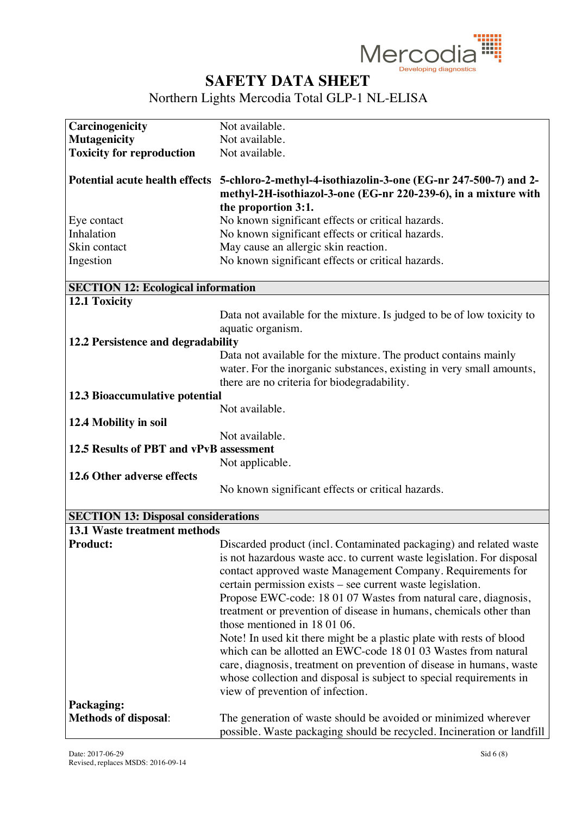

| Carcinogenicity                            | Not available.                                                                                 |
|--------------------------------------------|------------------------------------------------------------------------------------------------|
| <b>Mutagenicity</b>                        | Not available.                                                                                 |
| <b>Toxicity for reproduction</b>           | Not available.                                                                                 |
|                                            |                                                                                                |
|                                            | Potential acute health effects 5-chloro-2-methyl-4-isothiazolin-3-one (EG-nr 247-500-7) and 2- |
|                                            | methyl-2H-isothiazol-3-one (EG-nr 220-239-6), in a mixture with                                |
|                                            | the proportion 3:1.                                                                            |
| Eye contact                                | No known significant effects or critical hazards.                                              |
| Inhalation                                 | No known significant effects or critical hazards.                                              |
| Skin contact                               | May cause an allergic skin reaction.                                                           |
| Ingestion                                  | No known significant effects or critical hazards.                                              |
|                                            |                                                                                                |
| <b>SECTION 12: Ecological information</b>  |                                                                                                |
| 12.1 Toxicity                              |                                                                                                |
|                                            | Data not available for the mixture. Is judged to be of low toxicity to                         |
|                                            | aquatic organism.                                                                              |
| 12.2 Persistence and degradability         |                                                                                                |
|                                            | Data not available for the mixture. The product contains mainly                                |
|                                            | water. For the inorganic substances, existing in very small amounts,                           |
|                                            | there are no criteria for biodegradability.                                                    |
| 12.3 Bioaccumulative potential             |                                                                                                |
|                                            | Not available.                                                                                 |
| 12.4 Mobility in soil                      |                                                                                                |
|                                            | Not available.                                                                                 |
| 12.5 Results of PBT and vPvB assessment    |                                                                                                |
|                                            | Not applicable.                                                                                |
| 12.6 Other adverse effects                 |                                                                                                |
|                                            | No known significant effects or critical hazards.                                              |
|                                            |                                                                                                |
| <b>SECTION 13: Disposal considerations</b> |                                                                                                |
| <b>13.1 Waste treatment methods</b>        |                                                                                                |
| <b>Product:</b>                            | Discarded product (incl. Contaminated packaging) and related waste                             |
|                                            | is not hazardous waste acc. to current waste legislation. For disposal                         |
|                                            | contact approved waste Management Company. Requirements for                                    |
|                                            | certain permission exists – see current waste legislation.                                     |
|                                            | Propose EWC-code: 18 01 07 Wastes from natural care, diagnosis,                                |
|                                            | treatment or prevention of disease in humans, chemicals other than                             |
|                                            | those mentioned in 180106.                                                                     |
|                                            | Note! In used kit there might be a plastic plate with rests of blood                           |
|                                            | which can be allotted an EWC-code 18 01 03 Wastes from natural                                 |
|                                            | care, diagnosis, treatment on prevention of disease in humans, waste                           |
|                                            |                                                                                                |
|                                            | whose collection and disposal is subject to special requirements in                            |
|                                            | view of prevention of infection.                                                               |
| Packaging:                                 |                                                                                                |
| <b>Methods of disposal:</b>                | The generation of waste should be avoided or minimized wherever                                |
|                                            | possible. Waste packaging should be recycled. Incineration or landfill                         |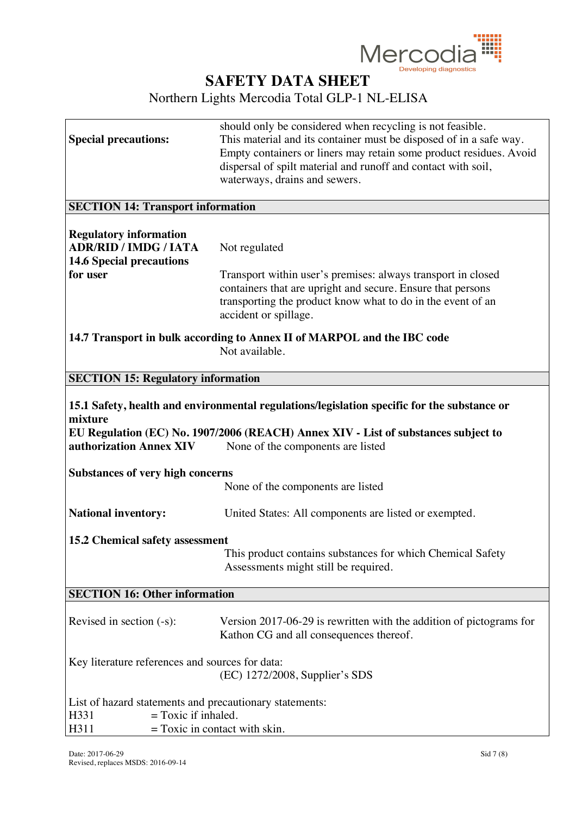

|                                                         | should only be considered when recycling is not feasible.                                   |
|---------------------------------------------------------|---------------------------------------------------------------------------------------------|
| <b>Special precautions:</b>                             | This material and its container must be disposed of in a safe way.                          |
|                                                         | Empty containers or liners may retain some product residues. Avoid                          |
|                                                         | dispersal of spilt material and runoff and contact with soil,                               |
|                                                         | waterways, drains and sewers.                                                               |
|                                                         |                                                                                             |
| <b>SECTION 14: Transport information</b>                |                                                                                             |
| <b>Regulatory information</b>                           |                                                                                             |
| <b>ADR/RID / IMDG / IATA</b>                            | Not regulated                                                                               |
| <b>14.6 Special precautions</b>                         |                                                                                             |
| for user                                                |                                                                                             |
|                                                         | Transport within user's premises: always transport in closed                                |
|                                                         | containers that are upright and secure. Ensure that persons                                 |
|                                                         | transporting the product know what to do in the event of an                                 |
|                                                         | accident or spillage.                                                                       |
|                                                         | 14.7 Transport in bulk according to Annex II of MARPOL and the IBC code                     |
|                                                         | Not available.                                                                              |
|                                                         |                                                                                             |
| <b>SECTION 15: Regulatory information</b>               |                                                                                             |
|                                                         |                                                                                             |
|                                                         | 15.1 Safety, health and environmental regulations/legislation specific for the substance or |
| mixture                                                 |                                                                                             |
|                                                         | EU Regulation (EC) No. 1907/2006 (REACH) Annex XIV - List of substances subject to          |
| authorization Annex XIV                                 | None of the components are listed                                                           |
|                                                         |                                                                                             |
| <b>Substances of very high concerns</b>                 |                                                                                             |
|                                                         | None of the components are listed                                                           |
|                                                         |                                                                                             |
| <b>National inventory:</b>                              | United States: All components are listed or exempted.                                       |
|                                                         |                                                                                             |
| 15.2 Chemical safety assessment                         |                                                                                             |
|                                                         | This product contains substances for which Chemical Safety                                  |
|                                                         | Assessments might still be required.                                                        |
|                                                         |                                                                                             |
| <b>SECTION 16: Other information</b>                    |                                                                                             |
|                                                         |                                                                                             |
| Revised in section $(-s)$ :                             | Version 2017-06-29 is rewritten with the addition of pictograms for                         |
|                                                         | Kathon CG and all consequences thereof.                                                     |
|                                                         |                                                                                             |
| Key literature references and sources for data:         |                                                                                             |
|                                                         | (EC) 1272/2008, Supplier's SDS                                                              |
|                                                         |                                                                                             |
| List of hazard statements and precautionary statements: |                                                                                             |
| $=$ Toxic if inhaled.<br>H331                           |                                                                                             |
| H311                                                    | $=$ Toxic in contact with skin.                                                             |
|                                                         |                                                                                             |